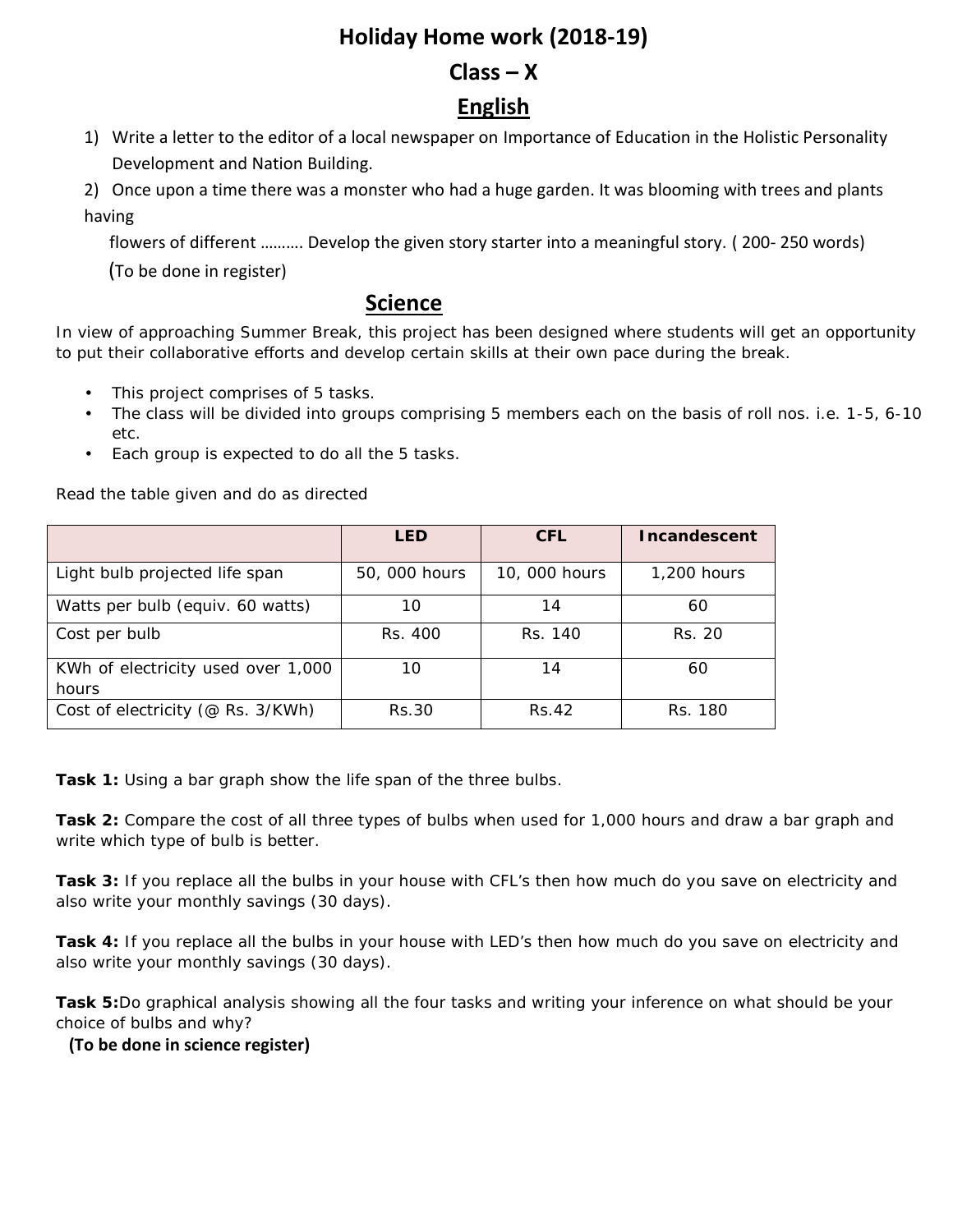## **Holiday Home work (2018-19)**

### $Class - X$

# **English**

1) Write a letter to the editor of a local newspaper on Importance of Education in the Holistic Personality Development and Nation Building.

2) Once upon a time there was a monster who had a huge garden. It was blooming with trees and plants having

flowers of different ………. Develop the given story starter into a meaningful story. ( 200- 250 words)

(To be done in register)

#### **Science**

In view of approaching Summer Break, this project has been designed where students will get an opportunity to put their collaborative efforts and develop certain skills at their own pace during the break.

- This project comprises of 5 tasks.
- The class will be divided into groups comprising 5 members each on the basis of roll nos. i.e. 1-5, 6-10 etc.
- Each group is expected to do all the 5 tasks.

Read the table given and do as directed

|                                             | <b>LED</b>    | CFL.          | Incandescent |
|---------------------------------------------|---------------|---------------|--------------|
| Light bulb projected life span              | 50, 000 hours | 10, 000 hours | 1,200 hours  |
| Watts per bulb (equiv. 60 watts)            | 10            | 14            | 60           |
| Cost per bulb                               | Rs. 400       | Rs. 140       | Rs. 20       |
| KWh of electricity used over 1,000<br>hours | 10            | 14            | 60           |
| Cost of electricity (@ Rs. 3/KWh)           | Rs.30         | Rs.42         | Rs. 180      |

**Task 1:** Using a bar graph show the life span of the three bulbs.

**Task 2:** Compare the cost of all three types of bulbs when used for 1,000 hours and draw a bar graph and write which type of bulb is better.

**Task 3:** If you replace all the bulbs in your house with CFL's then how much do you save on electricity and also write your monthly savings (30 days).

**Task 4:** If you replace all the bulbs in your house with LED's then how much do you save on electricity and also write your monthly savings (30 days).

**Task 5:**Do graphical analysis showing all the four tasks and writing your inference on what should be your choice of bulbs and why?

#### **(To be done in science register)**